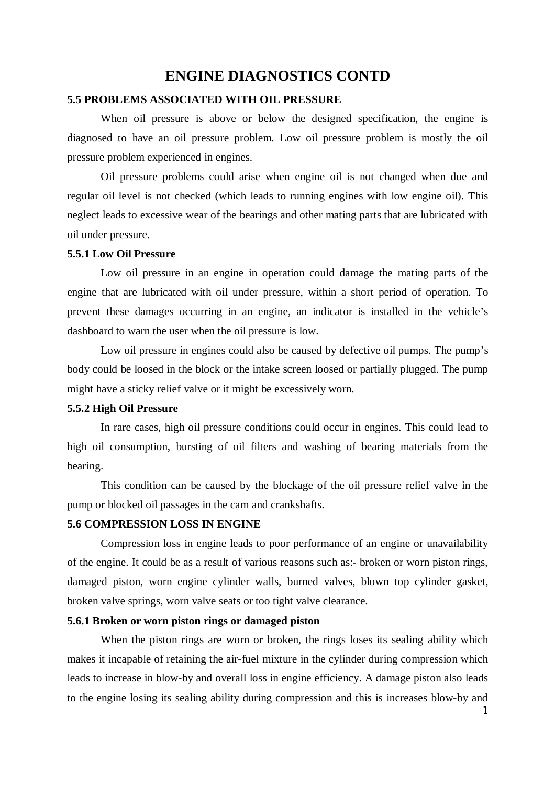# **ENGINE DIAGNOSTICS CONTD**

### **5.5 PROBLEMS ASSOCIATED WITH OIL PRESSURE**

When oil pressure is above or below the designed specification, the engine is diagnosed to have an oil pressure problem. Low oil pressure problem is mostly the oil pressure problem experienced in engines.

Oil pressure problems could arise when engine oil is not changed when due and regular oil level is not checked (which leads to running engines with low engine oil). This neglect leads to excessive wear of the bearings and other mating parts that are lubricated with oil under pressure.

#### **5.5.1 Low Oil Pressure**

Low oil pressure in an engine in operation could damage the mating parts of the engine that are lubricated with oil under pressure, within a short period of operation. To prevent these damages occurring in an engine, an indicator is installed in the vehicle's dashboard to warn the user when the oil pressure is low.

Low oil pressure in engines could also be caused by defective oil pumps. The pump's body could be loosed in the block or the intake screen loosed or partially plugged. The pump might have a sticky relief valve or it might be excessively worn.

#### **5.5.2 High Oil Pressure**

In rare cases, high oil pressure conditions could occur in engines. This could lead to high oil consumption, bursting of oil filters and washing of bearing materials from the bearing.

This condition can be caused by the blockage of the oil pressure relief valve in the pump or blocked oil passages in the cam and crankshafts.

## **5.6 COMPRESSION LOSS IN ENGINE**

Compression loss in engine leads to poor performance of an engine or unavailability of the engine. It could be as a result of various reasons such as:- broken or worn piston rings, damaged piston, worn engine cylinder walls, burned valves, blown top cylinder gasket, broken valve springs, worn valve seats or too tight valve clearance.

### **5.6.1 Broken or worn piston rings or damaged piston**

When the piston rings are worn or broken, the rings loses its sealing ability which makes it incapable of retaining the air-fuel mixture in the cylinder during compression which leads to increase in blow-by and overall loss in engine efficiency. A damage piston also leads to the engine losing its sealing ability during compression and this is increases blow-by and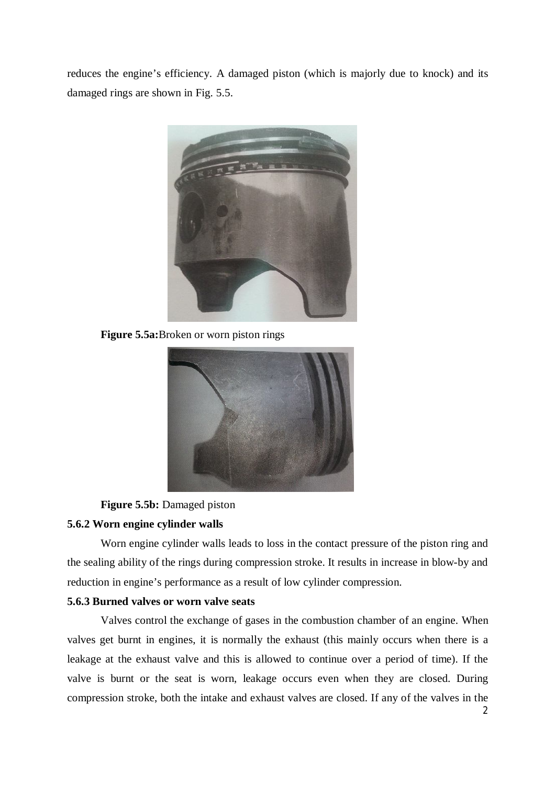reduces the engine's efficiency. A damaged piston (which is majorly due to knock) and its damaged rings are shown in Fig. 5.5.



**Figure 5.5a:**Broken or worn piston rings



**Figure 5.5b:** Damaged piston

#### **5.6.2 Worn engine cylinder walls**

Worn engine cylinder walls leads to loss in the contact pressure of the piston ring and the sealing ability of the rings during compression stroke. It results in increase in blow-by and reduction in engine's performance as a result of low cylinder compression.

## **5.6.3 Burned valves or worn valve seats**

Valves control the exchange of gases in the combustion chamber of an engine. When valves get burnt in engines, it is normally the exhaust (this mainly occurs when there is a leakage at the exhaust valve and this is allowed to continue over a period of time). If the valve is burnt or the seat is worn, leakage occurs even when they are closed. During compression stroke, both the intake and exhaust valves are closed. If any of the valves in the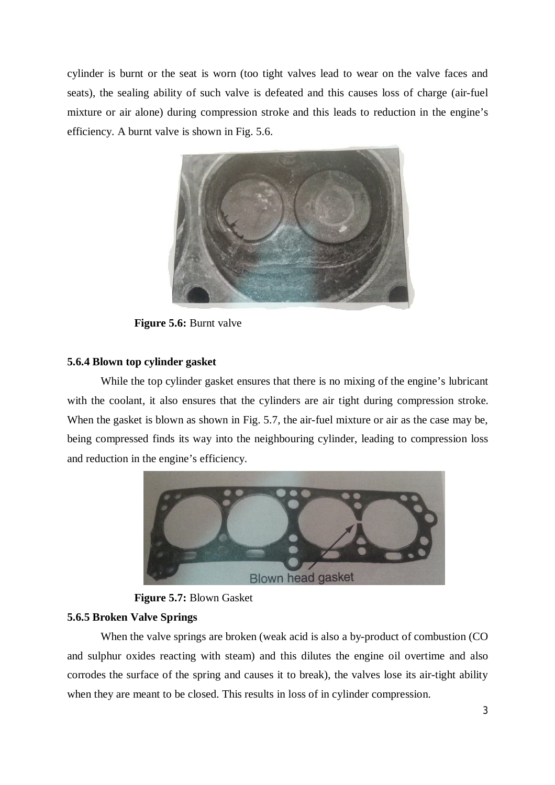cylinder is burnt or the seat is worn (too tight valves lead to wear on the valve faces and seats), the sealing ability of such valve is defeated and this causes loss of charge (air-fuel mixture or air alone) during compression stroke and this leads to reduction in the engine's efficiency. A burnt valve is shown in Fig. 5.6.



**Figure 5.6:** Burnt valve

## **5.6.4 Blown top cylinder gasket**

While the top cylinder gasket ensures that there is no mixing of the engine's lubricant with the coolant, it also ensures that the cylinders are air tight during compression stroke. When the gasket is blown as shown in Fig. 5.7, the air-fuel mixture or air as the case may be, being compressed finds its way into the neighbouring cylinder, leading to compression loss and reduction in the engine's efficiency.



**Figure 5.7:** Blown Gasket

## **5.6.5 Broken Valve Springs**

When the valve springs are broken (weak acid is also a by-product of combustion (CO and sulphur oxides reacting with steam) and this dilutes the engine oil overtime and also corrodes the surface of the spring and causes it to break), the valves lose its air-tight ability when they are meant to be closed. This results in loss of in cylinder compression.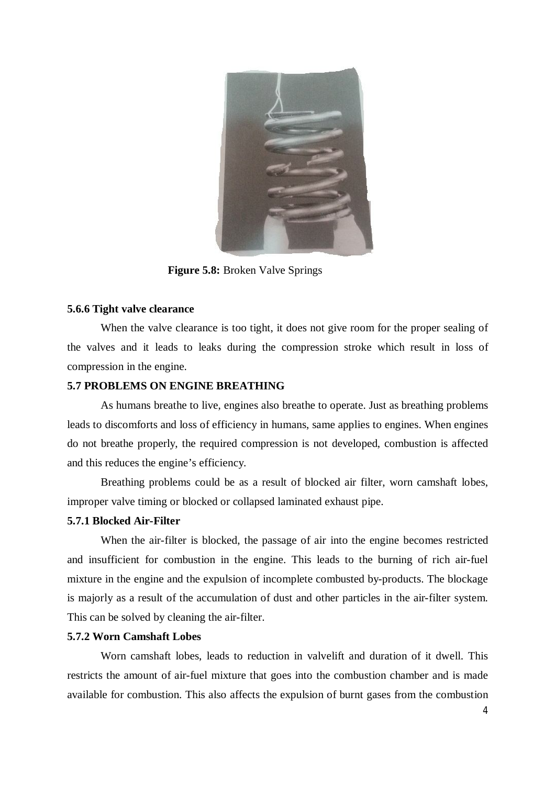

**Figure 5.8:** Broken Valve Springs

### **5.6.6 Tight valve clearance**

When the valve clearance is too tight, it does not give room for the proper sealing of the valves and it leads to leaks during the compression stroke which result in loss of compression in the engine.

## **5.7 PROBLEMS ON ENGINE BREATHING**

As humans breathe to live, engines also breathe to operate. Just as breathing problems leads to discomforts and loss of efficiency in humans, same applies to engines. When engines do not breathe properly, the required compression is not developed, combustion is affected and this reduces the engine's efficiency.

Breathing problems could be as a result of blocked air filter, worn camshaft lobes, improper valve timing or blocked or collapsed laminated exhaust pipe.

#### **5.7.1 Blocked Air-Filter**

When the air-filter is blocked, the passage of air into the engine becomes restricted and insufficient for combustion in the engine. This leads to the burning of rich air-fuel mixture in the engine and the expulsion of incomplete combusted by-products. The blockage is majorly as a result of the accumulation of dust and other particles in the air-filter system. This can be solved by cleaning the air-filter.

#### **5.7.2 Worn Camshaft Lobes**

Worn camshaft lobes, leads to reduction in valvelift and duration of it dwell. This restricts the amount of air-fuel mixture that goes into the combustion chamber and is made available for combustion. This also affects the expulsion of burnt gases from the combustion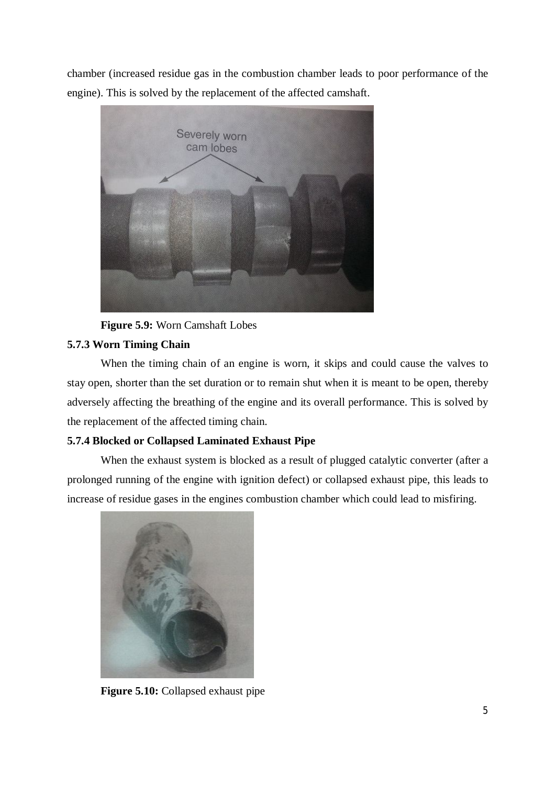chamber (increased residue gas in the combustion chamber leads to poor performance of the engine). This is solved by the replacement of the affected camshaft.



**Figure 5.9:** Worn Camshaft Lobes

# **5.7.3 Worn Timing Chain**

When the timing chain of an engine is worn, it skips and could cause the valves to stay open, shorter than the set duration or to remain shut when it is meant to be open, thereby adversely affecting the breathing of the engine and its overall performance. This is solved by the replacement of the affected timing chain.

# **5.7.4 Blocked or Collapsed Laminated Exhaust Pipe**

When the exhaust system is blocked as a result of plugged catalytic converter (after a prolonged running of the engine with ignition defect) or collapsed exhaust pipe, this leads to increase of residue gases in the engines combustion chamber which could lead to misfiring.



**Figure 5.10:** Collapsed exhaust pipe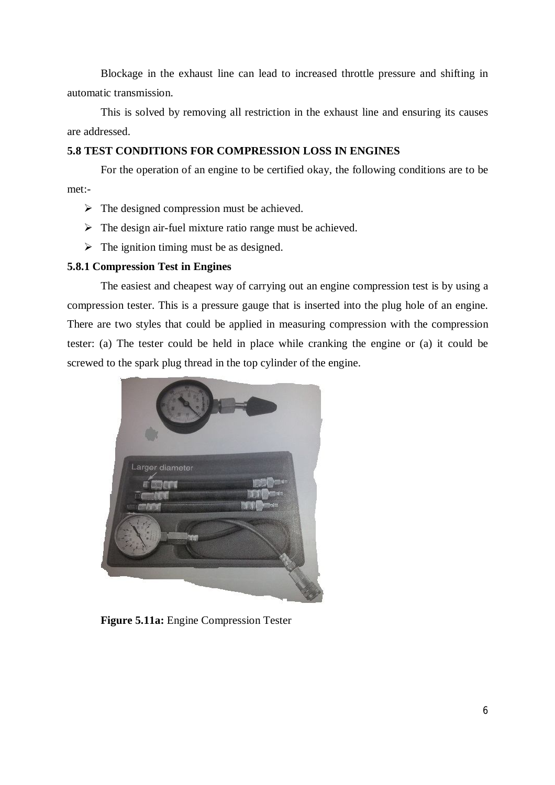Blockage in the exhaust line can lead to increased throttle pressure and shifting in automatic transmission.

This is solved by removing all restriction in the exhaust line and ensuring its causes are addressed.

# **5.8 TEST CONDITIONS FOR COMPRESSION LOSS IN ENGINES**

For the operation of an engine to be certified okay, the following conditions are to be met:-

- $\triangleright$  The designed compression must be achieved.
- $\triangleright$  The design air-fuel mixture ratio range must be achieved.
- $\triangleright$  The ignition timing must be as designed.

## **5.8.1 Compression Test in Engines**

The easiest and cheapest way of carrying out an engine compression test is by using a compression tester. This is a pressure gauge that is inserted into the plug hole of an engine. There are two styles that could be applied in measuring compression with the compression tester: (a) The tester could be held in place while cranking the engine or (a) it could be screwed to the spark plug thread in the top cylinder of the engine.



**Figure 5.11a:** Engine Compression Tester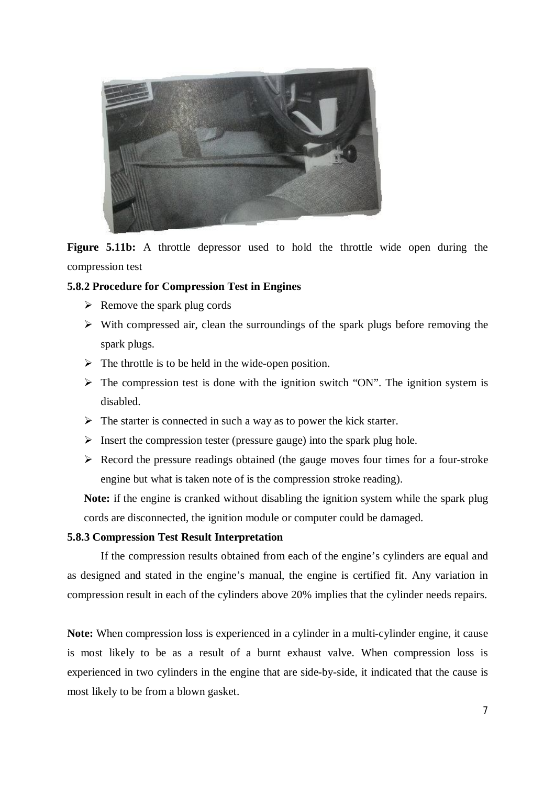

**Figure 5.11b:** A throttle depressor used to hold the throttle wide open during the compression test

# **5.8.2 Procedure for Compression Test in Engines**

- $\triangleright$  Remove the spark plug cords
- $\triangleright$  With compressed air, clean the surroundings of the spark plugs before removing the spark plugs.
- $\triangleright$  The throttle is to be held in the wide-open position.
- $\triangleright$  The compression test is done with the ignition switch "ON". The ignition system is disabled.
- $\triangleright$  The starter is connected in such a way as to power the kick starter.
- $\triangleright$  Insert the compression tester (pressure gauge) into the spark plug hole.
- $\triangleright$  Record the pressure readings obtained (the gauge moves four times for a four-stroke engine but what is taken note of is the compression stroke reading).

**Note:** if the engine is cranked without disabling the ignition system while the spark plug cords are disconnected, the ignition module or computer could be damaged.

## **5.8.3 Compression Test Result Interpretation**

If the compression results obtained from each of the engine's cylinders are equal and as designed and stated in the engine's manual, the engine is certified fit. Any variation in compression result in each of the cylinders above 20% implies that the cylinder needs repairs.

Note: When compression loss is experienced in a cylinder in a multi-cylinder engine, it cause is most likely to be as a result of a burnt exhaust valve. When compression loss is experienced in two cylinders in the engine that are side-by-side, it indicated that the cause is most likely to be from a blown gasket.